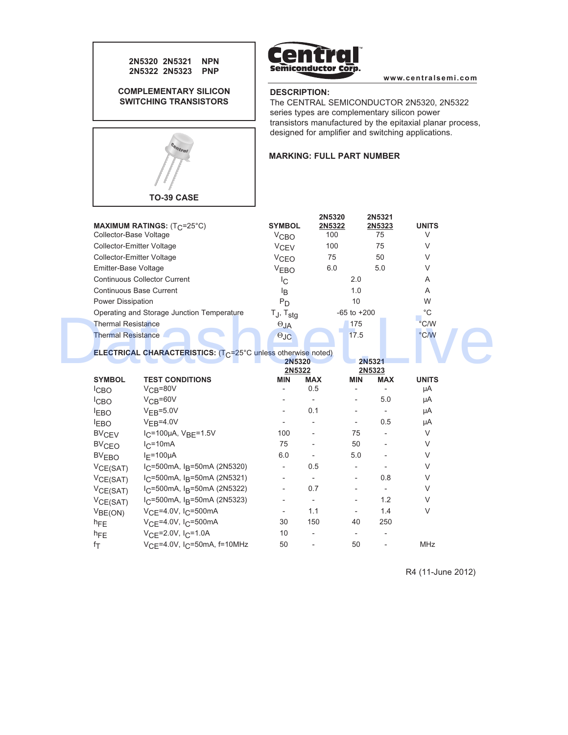



**www.centralsemi.com**

# **DESCRIPTION:**

The CENTRAL SEMICONDUCTOR 2N5320, 2N5322 series types are complementary silicon power transistors manufactured by the epitaxial planar process, designed for amplifier and switching applications.

## **MARKING: FULL PART NUMBER**

| Collector-Base Voltage                     | MAXIMUM RATINGS: (T <sub>C</sub> =25°C)                                          | <b>SYMBOL</b><br>V <sub>CBO</sub> | 2N5320<br>2N5322<br>100  |                          | 2N5321<br>2N5323<br>75   | <b>UNITS</b><br>V |
|--------------------------------------------|----------------------------------------------------------------------------------|-----------------------------------|--------------------------|--------------------------|--------------------------|-------------------|
| <b>Collector-Emitter Voltage</b>           |                                                                                  | V <sub>CEV</sub>                  | 100                      |                          | 75                       | V                 |
| <b>Collector-Emitter Voltage</b>           |                                                                                  | V <sub>CEO</sub>                  | 75                       |                          | 50                       | $\vee$            |
| Emitter-Base Voltage                       |                                                                                  | V <sub>EBO</sub>                  | 6.0                      |                          | 5.0                      | V                 |
| <b>Continuous Collector Current</b>        |                                                                                  | Iс                                |                          | 2.0                      |                          | A                 |
| Continuous Base Current                    |                                                                                  | ΙB                                |                          | 1.0                      |                          | A                 |
| Power Dissipation                          |                                                                                  | $P_D$                             |                          | 10                       |                          | W                 |
| Operating and Storage Junction Temperature |                                                                                  | $T_J$ , $T_{stg}$                 |                          | $-65$ to $+200$          |                          | $^{\circ}$ C      |
| <b>Thermal Resistance</b>                  |                                                                                  | $\Theta_{JA}$                     |                          | 175                      |                          | $\degree$ C/W     |
| <b>Thermal Resistance</b>                  |                                                                                  | $\Theta$ JC                       |                          | 17.5                     |                          | °C/W              |
|                                            | <b>ELECTRICAL CHARACTERISTICS:</b> (T <sub>C</sub> =25°C unless otherwise noted) | 2N5320<br>2N5322                  |                          |                          | 2N5321<br>2N5323         |                   |
| <b>SYMBOL</b>                              | <b>TEST CONDITIONS</b>                                                           | <b>MIN</b>                        | <b>MAX</b>               | <b>MIN</b>               | <b>MAX</b>               | <b>UNITS</b>      |
| <sup>I</sup> CBO                           | $VCB=80V$                                                                        |                                   | 0.5                      |                          |                          | μA                |
| <sup>I</sup> CBO                           | $VCB=60V$                                                                        |                                   |                          | $\overline{\phantom{0}}$ | 5.0                      | μA                |
| <b>EBO</b>                                 | $VEB=5.0V$                                                                       |                                   | 0.1                      |                          |                          | μA                |
| <b>EBO</b>                                 | $VFB=4.0V$                                                                       |                                   |                          | $\overline{\phantom{0}}$ | 0.5                      | μA                |
| <b>BV<sub>CEV</sub></b>                    | $I_C = 100 \mu A$ , $V_B = 1.5 V$                                                | 100                               |                          | 75                       |                          | $\vee$            |
| <b>BV<sub>CEO</sub></b>                    | $I_C = 10mA$                                                                     | 75                                |                          | 50                       |                          | $\vee$            |
| <b>BV<sub>EBO</sub></b>                    | $I_F = 100 \mu A$                                                                | 6.0                               |                          | 5.0                      |                          | $\vee$            |
| VCE(SAT)                                   | $I_C$ =500mA, $I_R$ =50mA (2N5320)                                               |                                   | 0.5                      |                          |                          | $\vee$            |
| VCE(SAT)                                   | $I_C$ =500mA, $I_B$ =50mA (2N5321)                                               |                                   |                          |                          | 0.8                      | V                 |
| VCE(SAT)                                   | $I_C$ =500mA, $I_R$ =50mA (2N5322)                                               |                                   | 0.7                      |                          | $\overline{\phantom{a}}$ | $\vee$            |
| VCE(SAT)                                   | $I_C$ =500mA, $I_R$ =50mA (2N5323)                                               |                                   | $\overline{\phantom{a}}$ | $\overline{\phantom{0}}$ | 1.2                      | $\vee$            |
| V <sub>BE(ON)</sub>                        | $V_{CF} = 4.0V$ , I <sub>C</sub> =500mA                                          |                                   | 1.1                      |                          | 1.4                      | $\vee$            |
| $h_{FE}$                                   | $V_{CF} = 4.0V$ , I <sub>C</sub> =500mA                                          | 30                                | 150                      | 40                       | 250                      |                   |

V<sub>CE</sub>=4.0V, I<sub>C</sub>=50mA, f=10MHz 50 - 50 - MHz

h<sub>FE</sub>  $V_{CE}$ =2.0V, I<sub>C</sub>=1.0A 10 - - - -<br>f<sub>T</sub>  $V_{CE}$ =4.0V, I<sub>C</sub>=50mA, f=10MHz 50 - 50 -

 $f_{\mathsf{T}}$ 

R4 (11-June 2012)